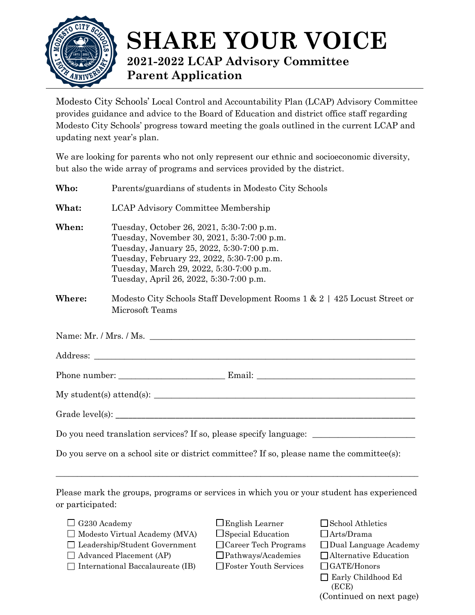

## **SHARE YOUR VOICE 2021-2022 LCAP Advisory Committee Parent Application**

Modesto City Schools' Local Control and Accountability Plan (LCAP) Advisory Committee provides guidance and advice to the Board of Education and district office staff regarding Modesto City Schools' progress toward meeting the goals outlined in the current LCAP and updating next year's plan.

We are looking for parents who not only represent our ethnic and socioeconomic diversity, but also the wide array of programs and services provided by the district.

| Who:   | Parents/guardians of students in Modesto City Schools                                                                                                                                                                                                                    |
|--------|--------------------------------------------------------------------------------------------------------------------------------------------------------------------------------------------------------------------------------------------------------------------------|
| What:  | <b>LCAP Advisory Committee Membership</b>                                                                                                                                                                                                                                |
| When:  | Tuesday, October 26, 2021, 5:30-7:00 p.m.<br>Tuesday, November 30, 2021, 5:30-7:00 p.m.<br>Tuesday, January 25, 2022, 5:30-7:00 p.m.<br>Tuesday, February 22, 2022, 5:30-7:00 p.m.<br>Tuesday, March 29, 2022, 5:30-7:00 p.m.<br>Tuesday, April 26, 2022, 5:30-7:00 p.m. |
| Where: | Modesto City Schools Staff Development Rooms $1 \& 2 \mid 425$ Locust Street or<br>Microsoft Teams                                                                                                                                                                       |
|        | Name: Mr. / Mrs. / Ms.                                                                                                                                                                                                                                                   |
|        |                                                                                                                                                                                                                                                                          |
|        |                                                                                                                                                                                                                                                                          |
|        |                                                                                                                                                                                                                                                                          |
|        |                                                                                                                                                                                                                                                                          |
|        | Do you need translation services? If so, please specify language: _______________                                                                                                                                                                                        |
|        | Do you serve on a school site or district committee? If so, please name the committee(s):                                                                                                                                                                                |
|        |                                                                                                                                                                                                                                                                          |

Please mark the groups, programs or services in which you or your student has experienced or participated:

- 
- $\Box$  Modesto Virtual Academy (MVA)  $\Box$  Special Education  $\Box$  Arts/Drama
- 
- 
- International Baccalaureate (IB) Foster Youth Services GATE/Honors
- 
- 
- -
- $\Box$  G230 Academy  $\Box$  English Learner  $\Box$  School Athletics
	-
- $\Box$  Leadership/Student Government  $\Box$  Career Tech Programs  $\Box$  Dual Language Academy
- $\Box$  Advanced Placement (AP)  $\Box$  Pathways/Academies  $\Box$  Alternative Education
	-
	- Early Childhood Ed (ECE)
	- (Continued on next page)